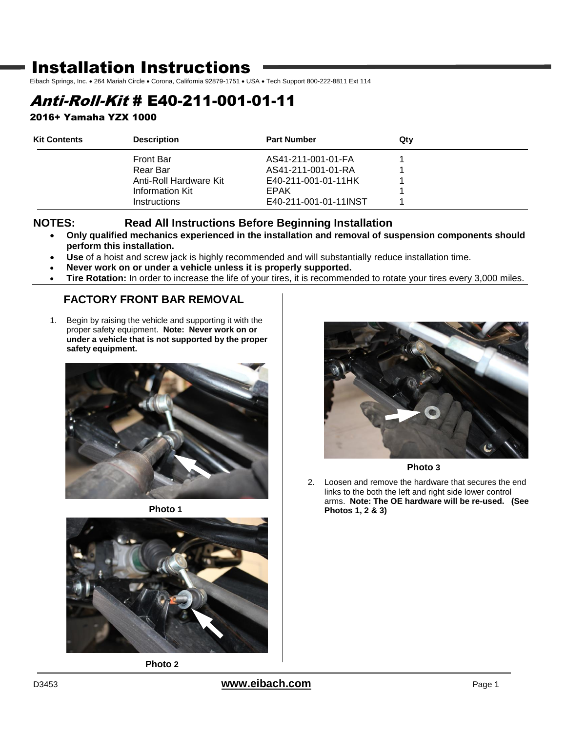## Installation Instructions

Eibach Springs, Inc. . 264 Mariah Circle . Corona, California 92879-1751 . USA . Tech Support 800-222-8811 Ext 114

# Anti-Roll-Kit # E40-211-001-01-11

2016+ Yamaha YZX 1000

| Kit Contents | <b>Description</b>     | <b>Part Number</b>    | Qtv |
|--------------|------------------------|-----------------------|-----|
|              | <b>Front Bar</b>       | AS41-211-001-01-FA    |     |
|              | Rear Bar               | AS41-211-001-01-RA    |     |
|              | Anti-Roll Hardware Kit | E40-211-001-01-11HK   |     |
|              | Information Kit        | <b>EPAK</b>           |     |
|              | <i>Instructions</i>    | E40-211-001-01-11INST |     |

#### **NOTES: Read All Instructions Before Beginning Installation**

- **Only qualified mechanics experienced in the installation and removal of suspension components should perform this installation.**
- **Use** of a hoist and screw jack is highly recommended and will substantially reduce installation time.
- **Never work on or under a vehicle unless it is properly supported.**
- **Tire Rotation:** In order to increase the life of your tires, it is recommended to rotate your tires every 3,000 miles.

#### **FACTORY FRONT BAR REMOVAL**

1. Begin by raising the vehicle and supporting it with the proper safety equipment. **Note: Never work on or under a vehicle that is not supported by the proper safety equipment.**







**Photo 2**



**Photo 3**

2. Loosen and remove the hardware that secures the end links to the both the left and right side lower control arms. **Note: The OE hardware will be re-used. (See Photos 1, 2 & 3)**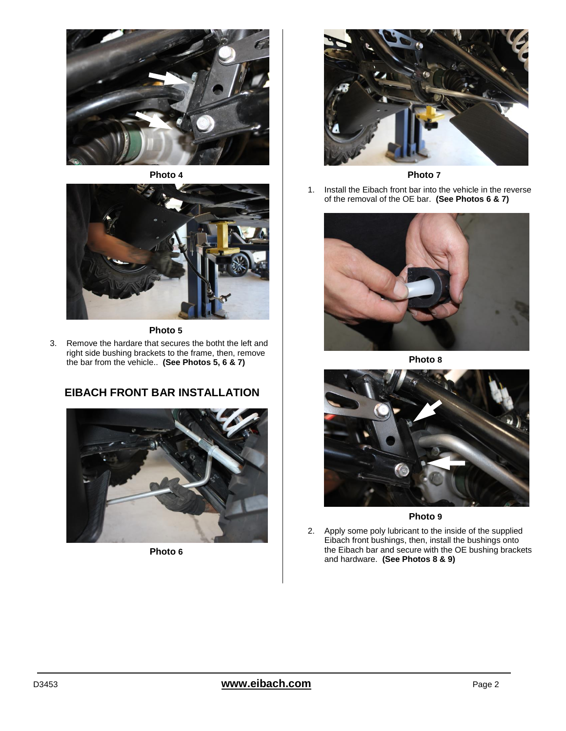![](_page_1_Picture_0.jpeg)

![](_page_1_Picture_2.jpeg)

**Photo 5**

3. Remove the hardare that secures the botht the left and right side bushing brackets to the frame, then, remove the bar from the vehicle.. **(See Photos 5, 6 & 7)**

### **EIBACH FRONT BAR INSTALLATION**

![](_page_1_Picture_6.jpeg)

**Photo 6**

![](_page_1_Picture_8.jpeg)

**Photo 4 Photo 7**

1. Install the Eibach front bar into the vehicle in the reverse of the removal of the OE bar. **(See Photos 6 & 7)**

![](_page_1_Picture_11.jpeg)

**Photo 8**

![](_page_1_Picture_13.jpeg)

**Photo 9**

2. Apply some poly lubricant to the inside of the supplied Eibach front bushings, then, install the bushings onto the Eibach bar and secure with the OE bushing brackets and hardware. **(See Photos 8 & 9)**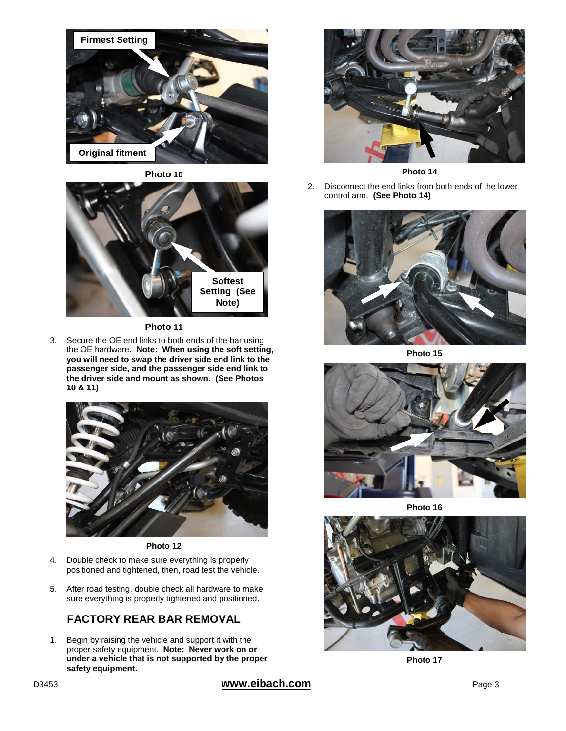![](_page_2_Picture_0.jpeg)

![](_page_2_Figure_1.jpeg)

![](_page_2_Picture_2.jpeg)

**Photo 11**

3. Secure the OE end links to both ends of the bar using the OE hardware**. Note: When using the soft setting, you will need to swap the driver side end link to the passenger side, and the passenger side end link to the driver side and mount as shown. (See Photos 10 & 11)**

![](_page_2_Picture_5.jpeg)

**Photo 12**

- 4. Double check to make sure everything is properly positioned and tightened, then, road test the vehicle.
- 5. After road testing, double check all hardware to make sure everything is properly tightened and positioned.

## **FACTORY REAR BAR REMOVAL**

1. Begin by raising the vehicle and support it with the proper safety equipment. **Note: Never work on or under a vehicle that is not supported by the proper safety equipment.**

![](_page_2_Picture_11.jpeg)

**Photo 14**

2. Disconnect the end links from both ends of the lower control arm. **(See Photo 14)**

![](_page_2_Picture_14.jpeg)

**Photo 15**

![](_page_2_Picture_16.jpeg)

**Photo 16**

![](_page_2_Picture_18.jpeg)

**Photo 17**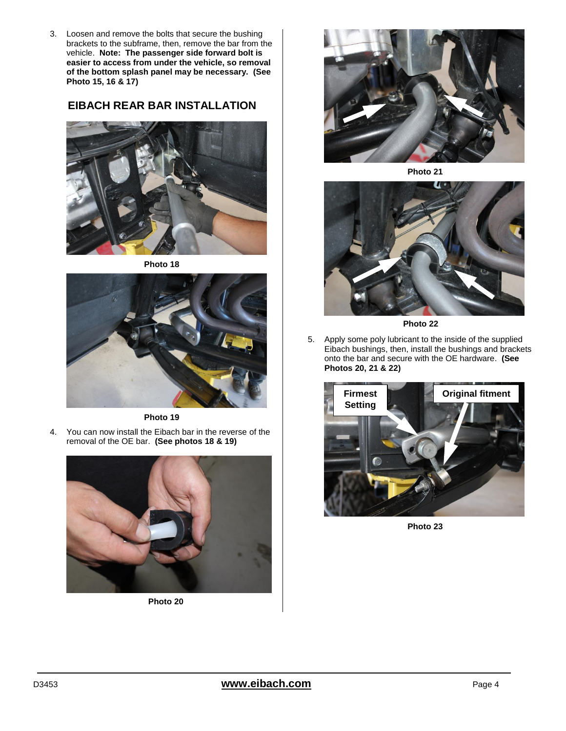3. Loosen and remove the bolts that secure the bushing brackets to the subframe, then, remove the bar from the vehicle. **Note: The passenger side forward bolt is easier to access from under the vehicle, so removal of the bottom splash panel may be necessary. (See Photo 15, 16 & 17)**

#### **EIBACH REAR BAR INSTALLATION**

![](_page_3_Picture_2.jpeg)

**Photo 18**

![](_page_3_Picture_4.jpeg)

**Photo 19**

4. You can now install the Eibach bar in the reverse of the removal of the OE bar. **(See photos 18 & 19)**

![](_page_3_Picture_7.jpeg)

**Photo 20**

![](_page_3_Picture_9.jpeg)

**Photo 21**

![](_page_3_Picture_11.jpeg)

**Photo 22**

5. Apply some poly lubricant to the inside of the supplied Eibach bushings, then, install the bushings and brackets onto the bar and secure with the OE hardware. **(See Photos 20, 21 & 22)**

![](_page_3_Picture_14.jpeg)

**Photo 23**